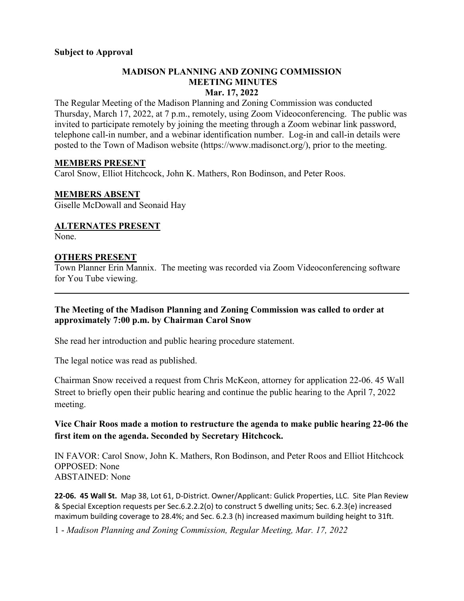### **MADISON PLANNING AND ZONING COMMISSION MEETING MINUTES Mar. 17, 2022**

The Regular Meeting of the Madison Planning and Zoning Commission was conducted Thursday, March 17, 2022, at 7 p.m., remotely, using Zoom Videoconferencing. The public was invited to participate remotely by joining the meeting through a Zoom webinar link password, telephone call-in number, and a webinar identification number. Log-in and call-in details were posted to the Town of Madison website [\(https://www.madisonct.org/\)](https://www.madisonct.org/), prior to the meeting.

### **MEMBERS PRESENT**

Carol Snow, Elliot Hitchcock, John K. Mathers, Ron Bodinson, and Peter Roos.

#### **MEMBERS ABSENT**

Giselle McDowall and Seonaid Hay

## **ALTERNATES PRESENT**

None.

### **OTHERS PRESENT**

Town Planner Erin Mannix. The meeting was recorded via Zoom Videoconferencing software for You Tube viewing.

 $\mathcal{L}_\mathcal{L} = \mathcal{L}_\mathcal{L} = \mathcal{L}_\mathcal{L} = \mathcal{L}_\mathcal{L} = \mathcal{L}_\mathcal{L} = \mathcal{L}_\mathcal{L} = \mathcal{L}_\mathcal{L} = \mathcal{L}_\mathcal{L} = \mathcal{L}_\mathcal{L} = \mathcal{L}_\mathcal{L} = \mathcal{L}_\mathcal{L} = \mathcal{L}_\mathcal{L} = \mathcal{L}_\mathcal{L} = \mathcal{L}_\mathcal{L} = \mathcal{L}_\mathcal{L} = \mathcal{L}_\mathcal{L} = \mathcal{L}_\mathcal{L}$ 

### **The Meeting of the Madison Planning and Zoning Commission was called to order at approximately 7:00 p.m. by Chairman Carol Snow**

She read her introduction and public hearing procedure statement.

The legal notice was read as published.

Chairman Snow received a request from Chris McKeon, attorney for application 22-06. 45 Wall Street to briefly open their public hearing and continue the public hearing to the April 7, 2022 meeting.

## **Vice Chair Roos made a motion to restructure the agenda to make public hearing 22-06 the first item on the agenda. Seconded by Secretary Hitchcock.**

IN FAVOR: Carol Snow, John K. Mathers, Ron Bodinson, and Peter Roos and Elliot Hitchcock OPPOSED: None ABSTAINED: None

**22-06. 45 Wall St.** Map 38, Lot 61, D-District. Owner/Applicant: Gulick Properties, LLC. Site Plan Review & Special Exception requests per Sec.6.2.2.2(o) to construct 5 dwelling units; Sec. 6.2.3(e) increased maximum building coverage to 28.4%; and Sec. 6.2.3 (h) increased maximum building height to 31ft.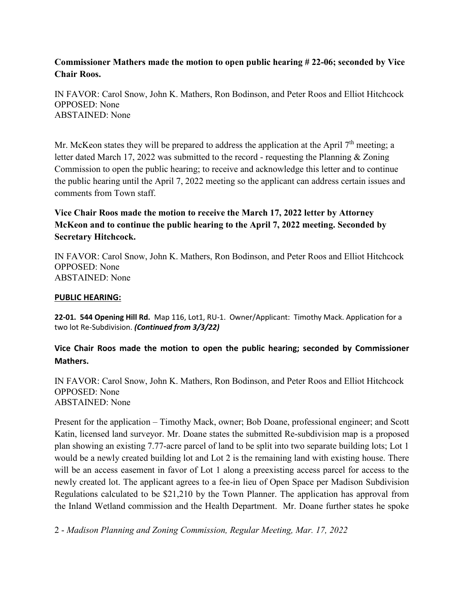**Commissioner Mathers made the motion to open public hearing # 22-06; seconded by Vice Chair Roos.**

IN FAVOR: Carol Snow, John K. Mathers, Ron Bodinson, and Peter Roos and Elliot Hitchcock OPPOSED: None ABSTAINED: None

Mr. McKeon states they will be prepared to address the application at the April 7<sup>th</sup> meeting; a letter dated March 17, 2022 was submitted to the record - requesting the Planning & Zoning Commission to open the public hearing; to receive and acknowledge this letter and to continue the public hearing until the April 7, 2022 meeting so the applicant can address certain issues and comments from Town staff.

**Vice Chair Roos made the motion to receive the March 17, 2022 letter by Attorney McKeon and to continue the public hearing to the April 7, 2022 meeting. Seconded by Secretary Hitchcock.**

IN FAVOR: Carol Snow, John K. Mathers, Ron Bodinson, and Peter Roos and Elliot Hitchcock OPPOSED: None ABSTAINED: None

#### **PUBLIC HEARING:**

**22-01. 544 Opening Hill Rd.** Map 116, Lot1, RU-1. Owner/Applicant: Timothy Mack. Application for a two lot Re-Subdivision. *(Continued from 3/3/22)*

**Vice Chair Roos made the motion to open the public hearing; seconded by Commissioner Mathers.**

IN FAVOR: Carol Snow, John K. Mathers, Ron Bodinson, and Peter Roos and Elliot Hitchcock OPPOSED: None ABSTAINED: None

Present for the application – Timothy Mack, owner; Bob Doane, professional engineer; and Scott Katin, licensed land surveyor. Mr. Doane states the submitted Re-subdivision map is a proposed plan showing an existing 7.77-acre parcel of land to be split into two separate building lots; Lot 1 would be a newly created building lot and Lot 2 is the remaining land with existing house. There will be an access easement in favor of Lot 1 along a preexisting access parcel for access to the newly created lot. The applicant agrees to a fee-in lieu of Open Space per Madison Subdivision Regulations calculated to be \$21,210 by the Town Planner. The application has approval from the Inland Wetland commission and the Health Department. Mr. Doane further states he spoke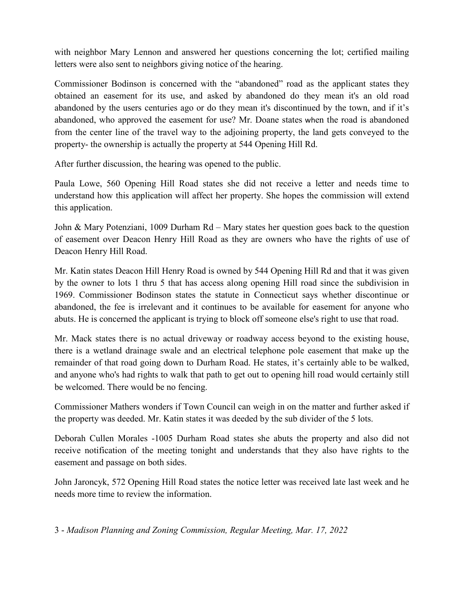with neighbor Mary Lennon and answered her questions concerning the lot; certified mailing letters were also sent to neighbors giving notice of the hearing.

Commissioner Bodinson is concerned with the "abandoned" road as the applicant states they obtained an easement for its use, and asked by abandoned do they mean it's an old road abandoned by the users centuries ago or do they mean it's discontinued by the town, and if it's abandoned, who approved the easement for use? Mr. Doane states when the road is abandoned from the center line of the travel way to the adjoining property, the land gets conveyed to the property- the ownership is actually the property at 544 Opening Hill Rd.

After further discussion, the hearing was opened to the public.

Paula Lowe, 560 Opening Hill Road states she did not receive a letter and needs time to understand how this application will affect her property. She hopes the commission will extend this application.

John & Mary Potenziani, 1009 Durham Rd – Mary states her question goes back to the question of easement over Deacon Henry Hill Road as they are owners who have the rights of use of Deacon Henry Hill Road.

Mr. Katin states Deacon Hill Henry Road is owned by 544 Opening Hill Rd and that it was given by the owner to lots 1 thru 5 that has access along opening Hill road since the subdivision in 1969. Commissioner Bodinson states the statute in Connecticut says whether discontinue or abandoned, the fee is irrelevant and it continues to be available for easement for anyone who abuts. He is concerned the applicant is trying to block off someone else's right to use that road.

Mr. Mack states there is no actual driveway or roadway access beyond to the existing house, there is a wetland drainage swale and an electrical telephone pole easement that make up the remainder of that road going down to Durham Road. He states, it's certainly able to be walked, and anyone who's had rights to walk that path to get out to opening hill road would certainly still be welcomed. There would be no fencing.

Commissioner Mathers wonders if Town Council can weigh in on the matter and further asked if the property was deeded. Mr. Katin states it was deeded by the sub divider of the 5 lots.

Deborah Cullen Morales -1005 Durham Road states she abuts the property and also did not receive notification of the meeting tonight and understands that they also have rights to the easement and passage on both sides.

John [Jaroncyk,](https://clustrmaps.com/person/Jaroncyk-1bciou) 572 Opening Hill Road states the notice letter was received late last week and he needs more time to review the information.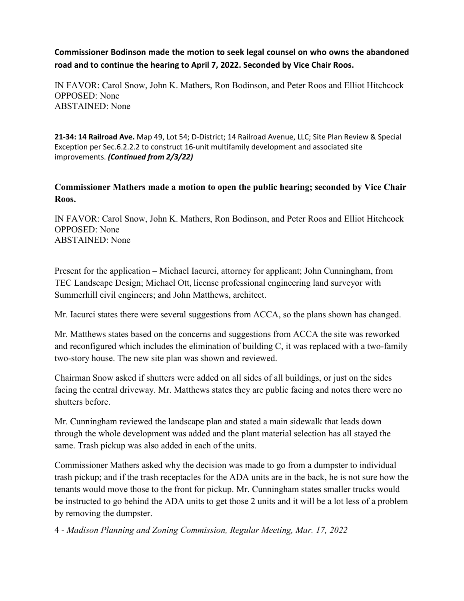**Commissioner Bodinson made the motion to seek legal counsel on who owns the abandoned road and to continue the hearing to April 7, 2022. Seconded by Vice Chair Roos.**

IN FAVOR: Carol Snow, John K. Mathers, Ron Bodinson, and Peter Roos and Elliot Hitchcock OPPOSED: None ABSTAINED: None

**21-34: 14 Railroad Ave.** Map 49, Lot 54; D-District; 14 Railroad Avenue, LLC; Site Plan Review & Special Exception per Sec.6.2.2.2 to construct 16-unit multifamily development and associated site improvements. *(Continued from 2/3/22)*

# **Commissioner Mathers made a motion to open the public hearing; seconded by Vice Chair Roos.**

IN FAVOR: Carol Snow, John K. Mathers, Ron Bodinson, and Peter Roos and Elliot Hitchcock OPPOSED: None ABSTAINED: None

Present for the application – Michael Iacurci, attorney for applicant; John Cunningham, from TEC Landscape Design; Michael Ott, license professional engineering land surveyor with Summerhill civil engineers; and John Matthews, architect.

Mr. Iacurci states there were several suggestions from ACCA, so the plans shown has changed.

Mr. Matthews states based on the concerns and suggestions from ACCA the site was reworked and reconfigured which includes the elimination of building C, it was replaced with a two-family two-story house. The new site plan was shown and reviewed.

Chairman Snow asked if shutters were added on all sides of all buildings, or just on the sides facing the central driveway. Mr. Matthews states they are public facing and notes there were no shutters before.

Mr. Cunningham reviewed the landscape plan and stated a main sidewalk that leads down through the whole development was added and the plant material selection has all stayed the same. Trash pickup was also added in each of the units.

Commissioner Mathers asked why the decision was made to go from a dumpster to individual trash pickup; and if the trash receptacles for the ADA units are in the back, he is not sure how the tenants would move those to the front for pickup. Mr. Cunningham states smaller trucks would be instructed to go behind the ADA units to get those 2 units and it will be a lot less of a problem by removing the dumpster.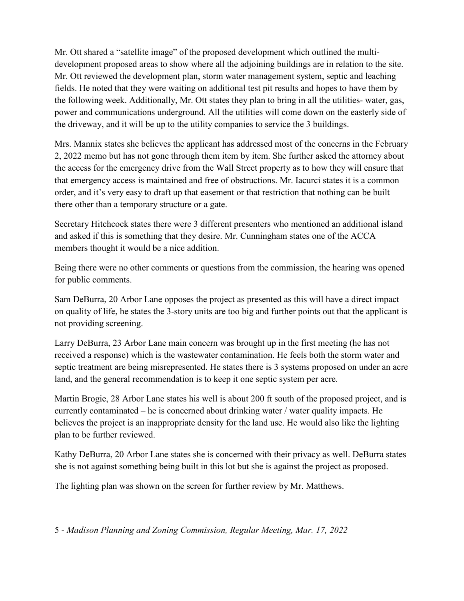Mr. Ott shared a "satellite image" of the proposed development which outlined the multidevelopment proposed areas to show where all the adjoining buildings are in relation to the site. Mr. Ott reviewed the development plan, storm water management system, septic and leaching fields. He noted that they were waiting on additional test pit results and hopes to have them by the following week. Additionally, Mr. Ott states they plan to bring in all the utilities- water, gas, power and communications underground. All the utilities will come down on the easterly side of the driveway, and it will be up to the utility companies to service the 3 buildings.

Mrs. Mannix states she believes the applicant has addressed most of the concerns in the February 2, 2022 memo but has not gone through them item by item. She further asked the attorney about the access for the emergency drive from the Wall Street property as to how they will ensure that that emergency access is maintained and free of obstructions. Mr. Iacurci states it is a common order, and it's very easy to draft up that easement or that restriction that nothing can be built there other than a temporary structure or a gate.

Secretary Hitchcock states there were 3 different presenters who mentioned an additional island and asked if this is something that they desire. Mr. Cunningham states one of the ACCA members thought it would be a nice addition.

Being there were no other comments or questions from the commission, the hearing was opened for public comments.

Sam DeBurra, 20 Arbor Lane opposes the project as presented as this will have a direct impact on quality of life, he states the 3-story units are too big and further points out that the applicant is not providing screening.

Larry DeBurra, 23 Arbor Lane main concern was brought up in the first meeting (he has not received a response) which is the wastewater contamination. He feels both the storm water and septic treatment are being misrepresented. He states there is 3 systems proposed on under an acre land, and the general recommendation is to keep it one septic system per acre.

Martin Brogie, 28 Arbor Lane states his well is about 200 ft south of the proposed project, and is currently contaminated – he is concerned about drinking water / water quality impacts. He believes the project is an inappropriate density for the land use. He would also like the lighting plan to be further reviewed.

Kathy DeBurra, 20 Arbor Lane states she is concerned with their privacy as well. DeBurra states she is not against something being built in this lot but she is against the project as proposed.

The lighting plan was shown on the screen for further review by Mr. Matthews.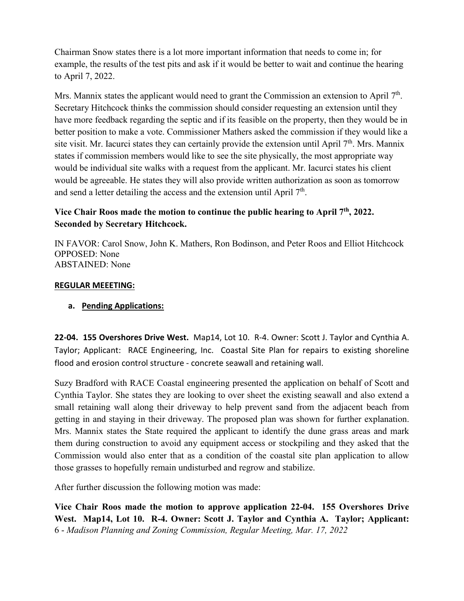Chairman Snow states there is a lot more important information that needs to come in; for example, the results of the test pits and ask if it would be better to wait and continue the hearing to April 7, 2022.

Mrs. Mannix states the applicant would need to grant the Commission an extension to April 7<sup>th</sup>. Secretary Hitchcock thinks the commission should consider requesting an extension until they have more feedback regarding the septic and if its feasible on the property, then they would be in better position to make a vote. Commissioner Mathers asked the commission if they would like a site visit. Mr. Iacurci states they can certainly provide the extension until April  $7<sup>th</sup>$ . Mrs. Mannix states if commission members would like to see the site physically, the most appropriate way would be individual site walks with a request from the applicant. Mr. Iacurci states his client would be agreeable. He states they will also provide written authorization as soon as tomorrow and send a letter detailing the access and the extension until April  $7<sup>th</sup>$ .

# **Vice Chair Roos made the motion to continue the public hearing to April 7th, 2022. Seconded by Secretary Hitchcock.**

IN FAVOR: Carol Snow, John K. Mathers, Ron Bodinson, and Peter Roos and Elliot Hitchcock OPPOSED: None ABSTAINED: None

### **REGULAR MEEETING:**

## **a. Pending Applications:**

**22-04. 155 Overshores Drive West.** Map14, Lot 10. R-4. Owner: Scott J. Taylor and Cynthia A. Taylor; Applicant: RACE Engineering, Inc. Coastal Site Plan for repairs to existing shoreline flood and erosion control structure - concrete seawall and retaining wall.

Suzy Bradford with RACE Coastal engineering presented the application on behalf of Scott and Cynthia Taylor. She states they are looking to over sheet the existing seawall and also extend a small retaining wall along their driveway to help prevent sand from the adjacent beach from getting in and staying in their driveway. The proposed plan was shown for further explanation. Mrs. Mannix states the State required the applicant to identify the dune grass areas and mark them during construction to avoid any equipment access or stockpiling and they asked that the Commission would also enter that as a condition of the coastal site plan application to allow those grasses to hopefully remain undisturbed and regrow and stabilize.

After further discussion the following motion was made:

6 - *Madison Planning and Zoning Commission, Regular Meeting, Mar. 17, 2022* **Vice Chair Roos made the motion to approve application 22-04. 155 Overshores Drive West. Map14, Lot 10. R-4. Owner: Scott J. Taylor and Cynthia A. Taylor; Applicant:**